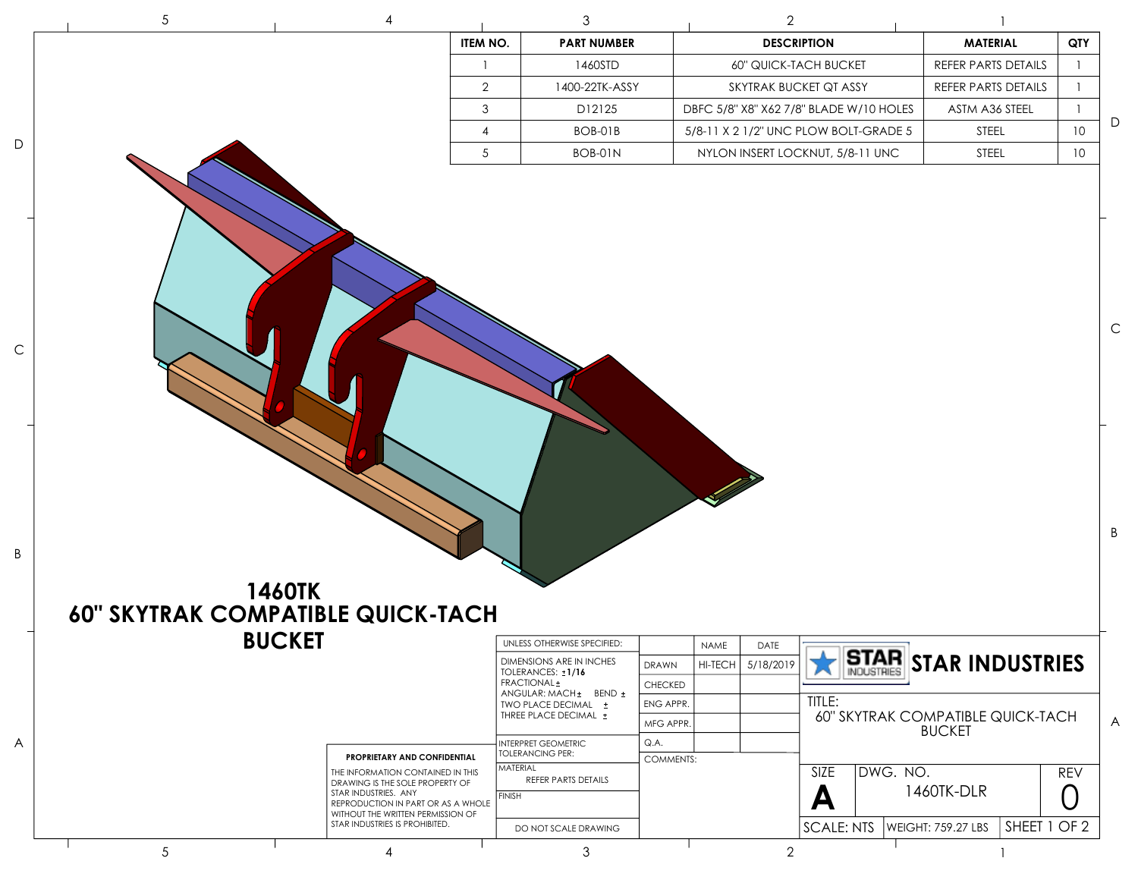| $\sqrt{5}$                               |               | 4                                                                                                         | 3                                                    |                  | $\overline{2}$              |                                         |                                                    |            |
|------------------------------------------|---------------|-----------------------------------------------------------------------------------------------------------|------------------------------------------------------|------------------|-----------------------------|-----------------------------------------|----------------------------------------------------|------------|
|                                          |               |                                                                                                           | ITEM NO.<br><b>PART NUMBER</b>                       |                  | <b>DESCRIPTION</b>          |                                         | <b>MATERIAL</b>                                    | QTY        |
|                                          |               |                                                                                                           | 1460STD<br>-1                                        |                  | 60" QUICK-TACH BUCKET       |                                         | REFER PARTS DETAILS                                |            |
|                                          |               |                                                                                                           | $\overline{2}$<br>1400-22TK-ASSY                     |                  | SKYTRAK BUCKET QT ASSY      |                                         | REFER PARTS DETAILS                                |            |
|                                          |               |                                                                                                           | $\mathbf{3}$<br>D12125                               |                  |                             | DBFC 5/8" X8" X62 7/8" BLADE W/10 HOLES | ASTM A36 STEEL                                     |            |
|                                          |               |                                                                                                           | 4<br>BOB-01B                                         |                  |                             | 5/8-11 X 2 1/2" UNC PLOW BOLT-GRADE 5   | <b>STEEL</b>                                       | 10         |
|                                          |               |                                                                                                           | 5<br>BOB-01N                                         |                  |                             | NYLON INSERT LOCKNUT, 5/8-11 UNC        | STEEL                                              | 10         |
|                                          |               |                                                                                                           |                                                      |                  |                             |                                         |                                                    |            |
|                                          | <b>1460TK</b> |                                                                                                           |                                                      |                  |                             |                                         |                                                    |            |
| <b>60" SKYTRAK COMPATIBLE QUICK-TACH</b> |               |                                                                                                           |                                                      |                  |                             |                                         |                                                    |            |
|                                          | <b>BUCKET</b> |                                                                                                           | UNLESS OTHERWISE SPECIFIED:                          |                  | NAME<br>DATE                |                                         |                                                    |            |
|                                          |               |                                                                                                           | <b>DIMENSIONS ARE IN INCHES</b><br>TOLERANCES: ±1/16 | <b>DRAWN</b>     | <b>HI-TECH</b><br>5/18/2019 |                                         |                                                    |            |
|                                          |               |                                                                                                           | FRACTIONAL ±<br>ANGULAR: MACH ± BEND ±               | CHECKED          |                             |                                         | STAR STAR INDUSTRIES                               |            |
|                                          |               |                                                                                                           | TWO PLACE DECIMAL ±<br>THREE PLACE DECIMAL ±         | ENG APPR.        |                             | TITLE:                                  |                                                    |            |
|                                          |               |                                                                                                           |                                                      | MFG APPR.        |                             |                                         | 60" SKYTRAK COMPATIBLE QUICK-TACH<br><b>BUCKET</b> |            |
|                                          |               | PROPRIETARY AND CONFIDENTIAL                                                                              | NTERPRET GEOMETRIC<br><b>TOLERANCING PER:</b>        | Q.A.             |                             |                                         |                                                    |            |
|                                          |               | THE INFORMATION CONTAINED IN THIS                                                                         | MATERIAL                                             | <b>COMMENTS:</b> |                             | DWG. NO.<br>SIZE                        |                                                    | <b>REV</b> |
|                                          |               | DRAWING IS THE SOLE PROPERTY OF<br>STAR INDUSTRIES. ANY                                                   | REFER PARTS DETAILS<br><b>FINISH</b>                 |                  |                             |                                         | 1460TK-DLR                                         |            |
|                                          |               | REPRODUCTION IN PART OR AS A WHOLE<br>WITHOUT THE WRITTEN PERMISSION OF<br>STAR INDUSTRIES IS PROHIBITED. | DO NOT SCALE DRAWING                                 |                  |                             | A<br><b>SCALE: NTS</b>                  | SHEET 1 OF 2<br><b>WEIGHT: 759.27 LBS</b>          |            |